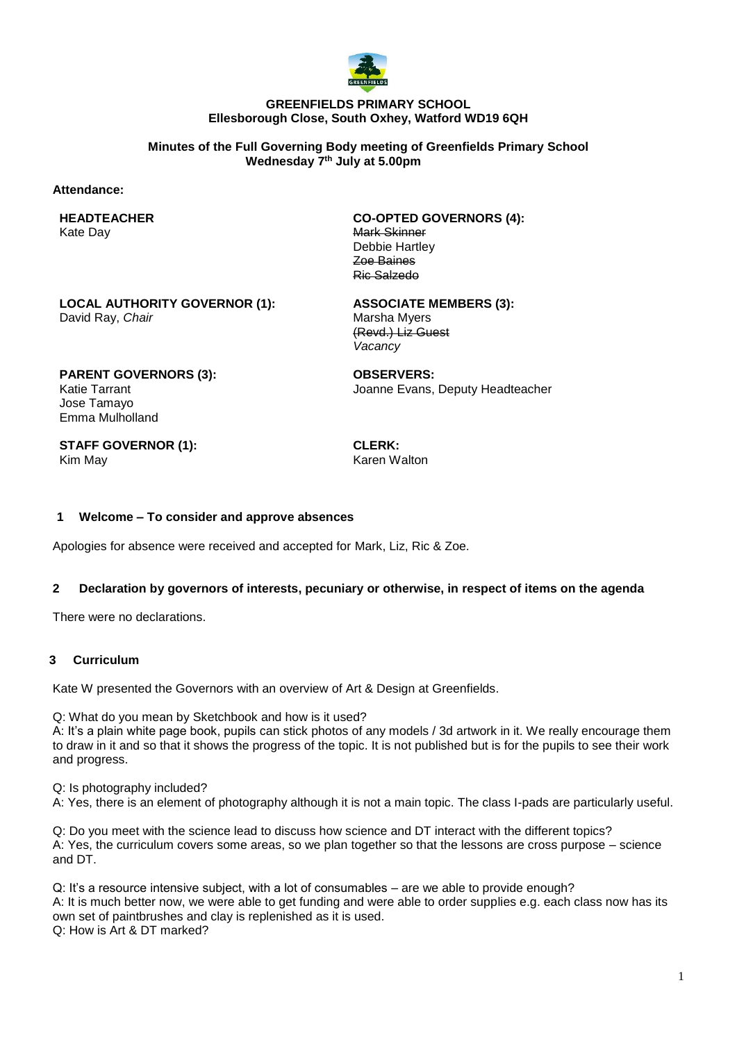

### **GREENFIELDS PRIMARY SCHOOL Ellesborough Close, South Oxhey, Watford WD19 6QH**

**Minutes of the Full Governing Body meeting of Greenfields Primary School Wednesday 7 th July at 5.00pm**

#### **Attendance:**

**HEADTEACHER** Kate Day

**CO-OPTED GOVERNORS (4):** Mark Skinner Debbie Hartley Zoe Baines Ric Salzedo

**LOCAL AUTHORITY GOVERNOR (1):** David Ray, *Chair*

**ASSOCIATE MEMBERS (3):** Marsha Myers (Revd.) Liz Guest *Vacancy*

**PARENT GOVERNORS (3):** Katie Tarrant Jose Tamayo Emma Mulholland

**OBSERVERS:** Joanne Evans, Deputy Headteacher

**STAFF GOVERNOR (1):** Kim May

**CLERK:** Karen Walton

### **1 Welcome – To consider and approve absences**

Apologies for absence were received and accepted for Mark, Liz, Ric & Zoe.

### **2 Declaration by governors of interests, pecuniary or otherwise, in respect of items on the agenda**

There were no declarations.

#### **3 Curriculum**

Kate W presented the Governors with an overview of Art & Design at Greenfields.

Q: What do you mean by Sketchbook and how is it used?

A: It's a plain white page book, pupils can stick photos of any models / 3d artwork in it. We really encourage them to draw in it and so that it shows the progress of the topic. It is not published but is for the pupils to see their work and progress.

Q: Is photography included?

A: Yes, there is an element of photography although it is not a main topic. The class I-pads are particularly useful.

Q: Do you meet with the science lead to discuss how science and DT interact with the different topics? A: Yes, the curriculum covers some areas, so we plan together so that the lessons are cross purpose – science and DT.

Q: It's a resource intensive subject, with a lot of consumables – are we able to provide enough? A: It is much better now, we were able to get funding and were able to order supplies e.g. each class now has its own set of paintbrushes and clay is replenished as it is used. Q: How is Art & DT marked?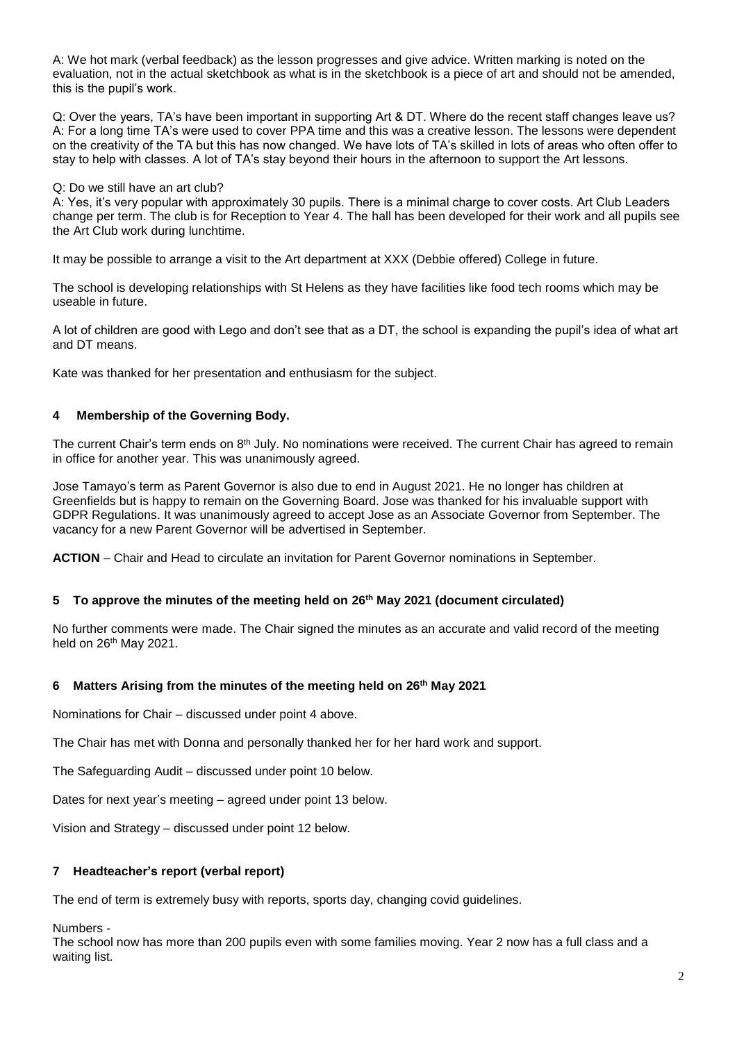A: We hot mark (verbal feedback) as the lesson progresses and give advice. Written marking is noted on the evaluation, not in the actual sketchbook as what is in the sketchbook is a piece of art and should not be amended, this is the pupil's work.

Q: Over the years, TA's have been important in supporting Art & DT. Where do the recent staff changes leave us? A: For a long time TA's were used to cover PPA time and this was a creative lesson. The lessons were dependent on the creativity of the TA but this has now changed. We have lots of TA's skilled in lots of areas who often offer to stay to help with classes. A lot of TA's stay beyond their hours in the afternoon to support the Art lessons.

Q: Do we still have an art club?

A: Yes, it's very popular with approximately 30 pupils. There is a minimal charge to cover costs. Art Club Leaders change per term. The club is for Reception to Year 4. The hall has been developed for their work and all pupils see the Art Club work during lunchtime.

It may be possible to arrange a visit to the Art department at XXX (Debbie offered) College in future.

The school is developing relationships with St Helens as they have facilities like food tech rooms which may be useable in future.

A lot of children are good with Lego and don't see that as a DT, the school is expanding the pupil's idea of what art and DT means.

Kate was thanked for her presentation and enthusiasm for the subject.

# **4 Membership of the Governing Body.**

The current Chair's term ends on 8<sup>th</sup> July. No nominations were received. The current Chair has agreed to remain in office for another year. This was unanimously agreed.

Jose Tamayo's term as Parent Governor is also due to end in August 2021. He no longer has children at Greenfields but is happy to remain on the Governing Board. Jose was thanked for his invaluable support with GDPR Regulations. It was unanimously agreed to accept Jose as an Associate Governor from September. The vacancy for a new Parent Governor will be advertised in September.

**ACTION** – Chair and Head to circulate an invitation for Parent Governor nominations in September.

# **5 To approve the minutes of the meeting held on 26th May 2021 (document circulated)**

No further comments were made. The Chair signed the minutes as an accurate and valid record of the meeting held on 26th May 2021.

# **6 Matters Arising from the minutes of the meeting held on 26th May 2021**

Nominations for Chair – discussed under point 4 above.

The Chair has met with Donna and personally thanked her for her hard work and support.

The Safeguarding Audit – discussed under point 10 below.

Dates for next year's meeting – agreed under point 13 below.

Vision and Strategy – discussed under point 12 below.

# **7 Headteacher's report (verbal report)**

The end of term is extremely busy with reports, sports day, changing covid guidelines.

Numbers -

The school now has more than 200 pupils even with some families moving. Year 2 now has a full class and a waiting list.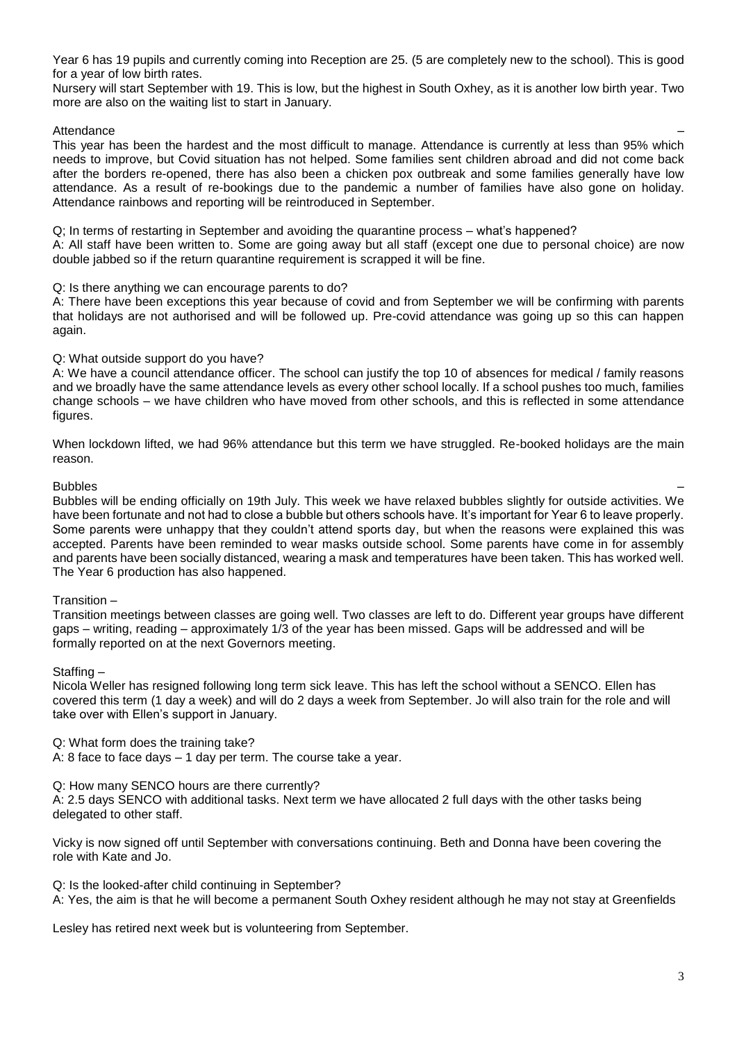Year 6 has 19 pupils and currently coming into Reception are 25. (5 are completely new to the school). This is good for a year of low birth rates.

Nursery will start September with 19. This is low, but the highest in South Oxhey, as it is another low birth year. Two more are also on the waiting list to start in January.

### Attendance –

This year has been the hardest and the most difficult to manage. Attendance is currently at less than 95% which needs to improve, but Covid situation has not helped. Some families sent children abroad and did not come back after the borders re-opened, there has also been a chicken pox outbreak and some families generally have low attendance. As a result of re-bookings due to the pandemic a number of families have also gone on holiday. Attendance rainbows and reporting will be reintroduced in September.

Q; In terms of restarting in September and avoiding the quarantine process – what's happened? A: All staff have been written to. Some are going away but all staff (except one due to personal choice) are now double jabbed so if the return quarantine requirement is scrapped it will be fine.

#### Q: Is there anything we can encourage parents to do?

A: There have been exceptions this year because of covid and from September we will be confirming with parents that holidays are not authorised and will be followed up. Pre-covid attendance was going up so this can happen again.

### Q: What outside support do you have?

A: We have a council attendance officer. The school can justify the top 10 of absences for medical / family reasons and we broadly have the same attendance levels as every other school locally. If a school pushes too much, families change schools – we have children who have moved from other schools, and this is reflected in some attendance figures.

When lockdown lifted, we had 96% attendance but this term we have struggled. Re-booked holidays are the main reason.

### Bubbles –

Bubbles will be ending officially on 19th July. This week we have relaxed bubbles slightly for outside activities. We have been fortunate and not had to close a bubble but others schools have. It's important for Year 6 to leave properly. Some parents were unhappy that they couldn't attend sports day, but when the reasons were explained this was accepted. Parents have been reminded to wear masks outside school. Some parents have come in for assembly and parents have been socially distanced, wearing a mask and temperatures have been taken. This has worked well. The Year 6 production has also happened.

#### Transition –

Transition meetings between classes are going well. Two classes are left to do. Different year groups have different gaps – writing, reading – approximately 1/3 of the year has been missed. Gaps will be addressed and will be formally reported on at the next Governors meeting.

#### Staffing –

Nicola Weller has resigned following long term sick leave. This has left the school without a SENCO. Ellen has covered this term (1 day a week) and will do 2 days a week from September. Jo will also train for the role and will take over with Ellen's support in January.

Q: What form does the training take?

A: 8 face to face days – 1 day per term. The course take a year.

#### Q: How many SENCO hours are there currently?

A: 2.5 days SENCO with additional tasks. Next term we have allocated 2 full days with the other tasks being delegated to other staff.

Vicky is now signed off until September with conversations continuing. Beth and Donna have been covering the role with Kate and Jo.

Q: Is the looked-after child continuing in September? A: Yes, the aim is that he will become a permanent South Oxhey resident although he may not stay at Greenfields

Lesley has retired next week but is volunteering from September.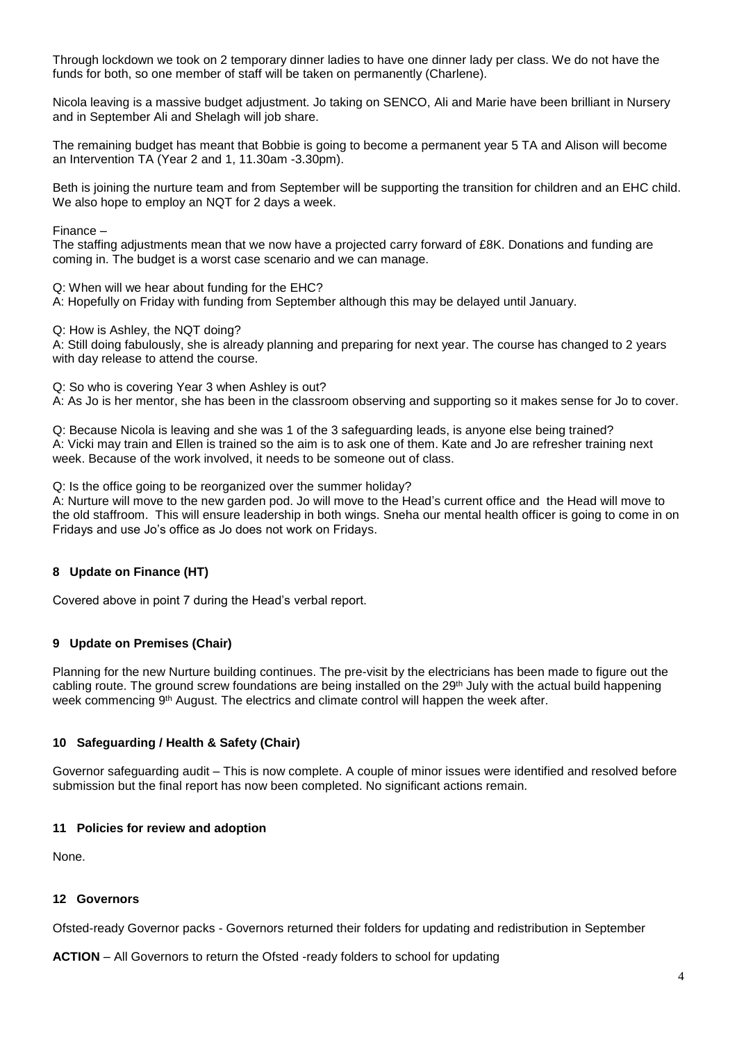Through lockdown we took on 2 temporary dinner ladies to have one dinner lady per class. We do not have the funds for both, so one member of staff will be taken on permanently (Charlene).

Nicola leaving is a massive budget adjustment. Jo taking on SENCO, Ali and Marie have been brilliant in Nursery and in September Ali and Shelagh will job share.

The remaining budget has meant that Bobbie is going to become a permanent year 5 TA and Alison will become an Intervention TA (Year 2 and 1, 11.30am -3.30pm).

Beth is joining the nurture team and from September will be supporting the transition for children and an EHC child. We also hope to employ an NQT for 2 days a week.

Finance –

The staffing adjustments mean that we now have a projected carry forward of £8K. Donations and funding are coming in. The budget is a worst case scenario and we can manage.

Q: When will we hear about funding for the EHC?

A: Hopefully on Friday with funding from September although this may be delayed until January.

Q: How is Ashley, the NQT doing?

A: Still doing fabulously, she is already planning and preparing for next year. The course has changed to 2 years with day release to attend the course.

Q: So who is covering Year 3 when Ashley is out?

A: As Jo is her mentor, she has been in the classroom observing and supporting so it makes sense for Jo to cover.

Q: Because Nicola is leaving and she was 1 of the 3 safeguarding leads, is anyone else being trained? A: Vicki may train and Ellen is trained so the aim is to ask one of them. Kate and Jo are refresher training next week. Because of the work involved, it needs to be someone out of class.

Q: Is the office going to be reorganized over the summer holiday?

A: Nurture will move to the new garden pod. Jo will move to the Head's current office and the Head will move to the old staffroom. This will ensure leadership in both wings. Sneha our mental health officer is going to come in on Fridays and use Jo's office as Jo does not work on Fridays.

# **8 Update on Finance (HT)**

Covered above in point 7 during the Head's verbal report.

# **9 Update on Premises (Chair)**

Planning for the new Nurture building continues. The pre-visit by the electricians has been made to figure out the cabling route. The ground screw foundations are being installed on the 29<sup>th</sup> July with the actual build happening week commencing 9<sup>th</sup> August. The electrics and climate control will happen the week after.

#### **10 Safeguarding / Health & Safety (Chair)**

Governor safeguarding audit – This is now complete. A couple of minor issues were identified and resolved before submission but the final report has now been completed. No significant actions remain.

#### **11 Policies for review and adoption**

None.

#### **12 Governors**

Ofsted-ready Governor packs - Governors returned their folders for updating and redistribution in September

**ACTION** – All Governors to return the Ofsted -ready folders to school for updating